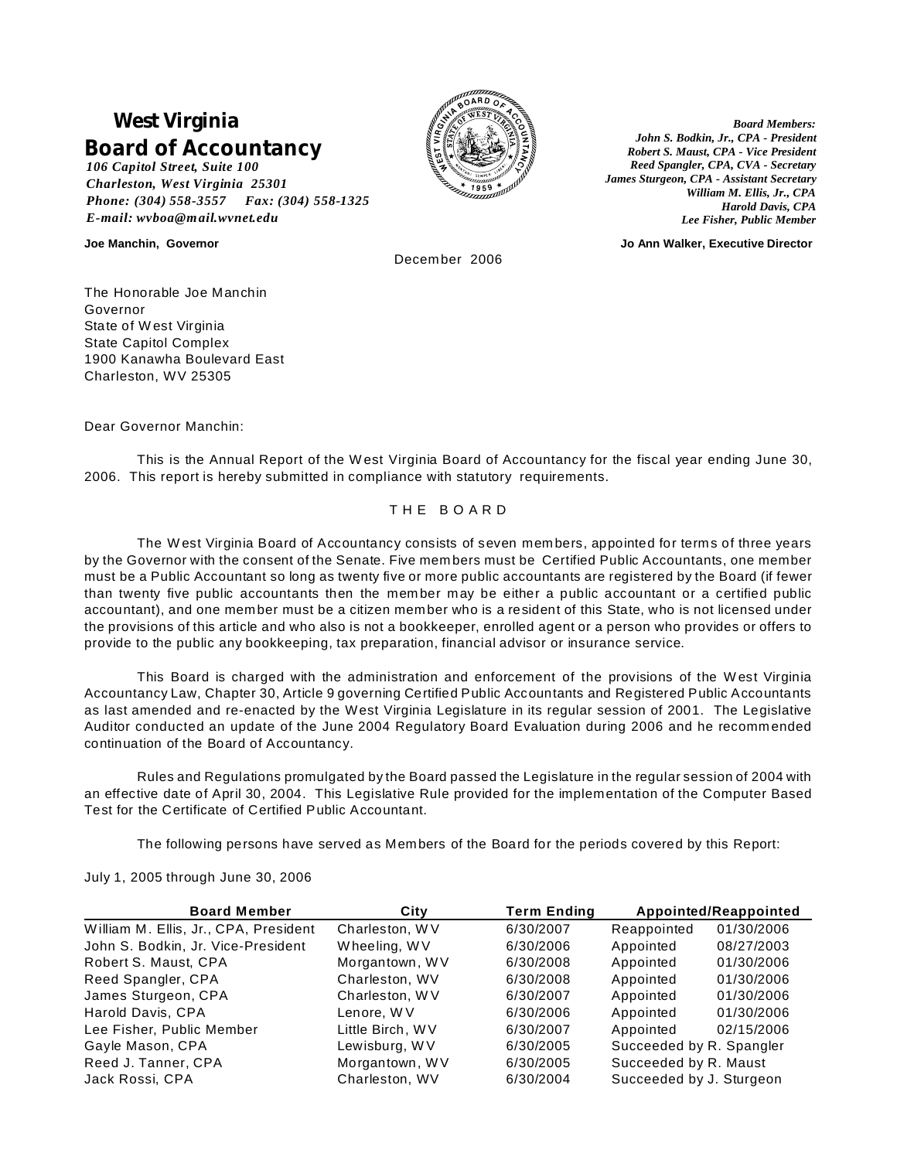# **West Virginia Board of Accountancy**

*106 Capitol Street, Suite 100 Charleston, West Virginia 25301 Phone: (304) 558-3557 Fax: (304) 558-1325 E-mail: wvboa@mail.wvnet.edu*



*Board Members: John S. Bodkin, Jr., CPA - President Robert S. Maust, CPA - Vice President Reed Spangler, CPA, CVA - Secretary James Sturgeon, CPA - Assistant Secretary William M. Ellis, Jr., CPA Harold Davis, CPA Lee Fisher, Public Member*

**Joe Manchin, Governor Jo Ann Walker, Executive Director**

December 2006

The Honorable Joe Manchin Governor State of W est Virginia State Capitol Complex 1900 Kanawha Boulevard East Charleston, WV 25305

Dear Governor Manchin:

This is the Annual Report of the W est Virginia Board of Accountancy for the fiscal year ending June 30, 2006. This report is hereby submitted in compliance with statutory requirements.

# T H E B O A R D

The W est Virginia Board of Accountancy consists of seven mem bers, appointed for terms of three years by the Governor with the consent of the Senate. Five mem bers must be Certified Public Accountants, one member must be a Public Accountant so long as twenty five or more public accountants are registered by the Board (if fewer than twenty five public accountants then the mem ber may be either a public accountant or a certified public accountant), and one member must be a citizen member who is a resident of this State, who is not licensed under the provisions of this article and who also is not a bookkeeper, enrolled agent or a person who provides or offers to provide to the public any bookkeeping, tax preparation, financial advisor or insurance service.

This Board is charged with the administration and enforcement of the provisions of the W est Virginia Accountancy Law, Chapter 30, Article 9 governing Certified Public Accountants and Registered Public Accountants as last amended and re-enacted by the West Virginia Legislature in its regular session of 2001. The Legislative Auditor conducted an update of the June 2004 Regulatory Board Evaluation during 2006 and he recomm ended continuation of the Board of Accountancy.

Rules and Regulations promulgated by the Board passed the Legislature in the regular session of 2004 with an effective date of April 30, 2004. This Legislative Rule provided for the implementation of the Computer Based Test for the Certificate of Certified Public Accountant.

The following persons have served as Members of the Board for the periods covered by this Report:

July 1, 2005 through June 30, 2006

| <b>Board Member</b>                   | City             | <b>Term Ending</b> |                          | Appointed/Reappointed |
|---------------------------------------|------------------|--------------------|--------------------------|-----------------------|
| William M. Ellis, Jr., CPA, President | Charleston, WV   | 6/30/2007          | Reappointed              | 01/30/2006            |
| John S. Bodkin, Jr. Vice-President    | Wheeling, WV     | 6/30/2006          | Appointed                | 08/27/2003            |
| Robert S. Maust, CPA                  | Morgantown, WV   | 6/30/2008          | Appointed                | 01/30/2006            |
| Reed Spangler, CPA                    | Charleston, WV   | 6/30/2008          | Appointed                | 01/30/2006            |
| James Sturgeon, CPA                   | Charleston, WV   | 6/30/2007          | Appointed                | 01/30/2006            |
| Harold Davis, CPA                     | Lenore, W V      | 6/30/2006          | Appointed                | 01/30/2006            |
| Lee Fisher, Public Member             | Little Birch, WV | 6/30/2007          | Appointed                | 02/15/2006            |
| Gayle Mason, CPA                      | Lewisburg, WV    | 6/30/2005          | Succeeded by R. Spangler |                       |
| Reed J. Tanner, CPA                   | Morgantown, WV   | 6/30/2005          | Succeeded by R. Maust    |                       |
| Jack Rossi, CPA                       | Charleston, WV   | 6/30/2004          | Succeeded by J. Sturgeon |                       |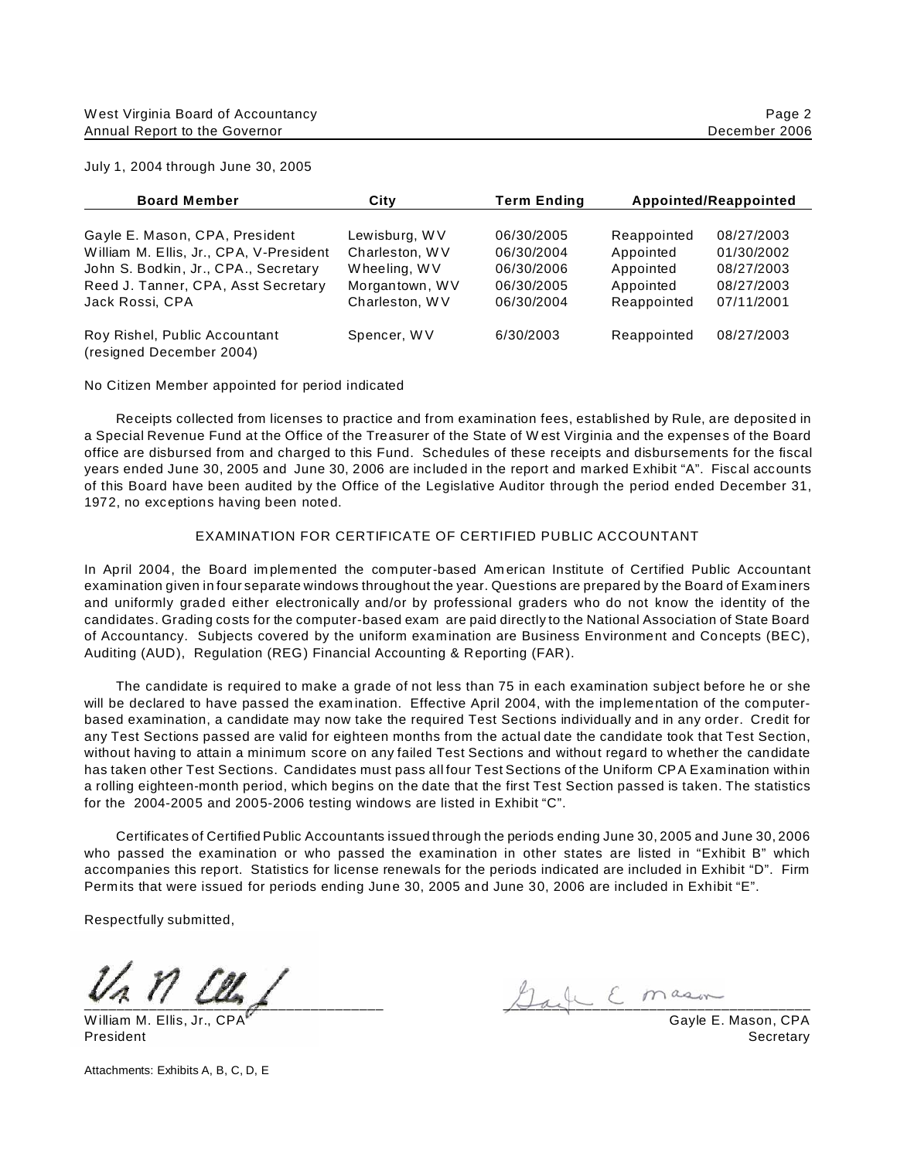| JUIV 1, 2004 INTOUGH JUNE 30, 2005      |                |                    |             |                       |
|-----------------------------------------|----------------|--------------------|-------------|-----------------------|
| <b>Board Member</b>                     | Citv           | <b>Term Ending</b> |             | Appointed/Reappointed |
| Gayle E. Mason, CPA, President          | Lewisburg, WV  | 06/30/2005         | Reappointed | 08/27/2003            |
| William M. Ellis, Jr., CPA, V-President | Charleston, WV | 06/30/2004         | Appointed   | 01/30/2002            |

| Roy Rishel, Public Accountant<br>(resigned December 2004) | Spencer, WV    | 6/30/2003  | Reappointed | 08/27/2003  |
|-----------------------------------------------------------|----------------|------------|-------------|-------------|
| Jack Rossi, CPA                                           | Charleston, WV | 06/30/2004 | Reappointed | 07/11/2001  |
| Reed J. Tanner, CPA, Asst Secretary                       | Morgantown, WV | 06/30/2005 | Appointed   | 08/27/2003  |
| John S. Bodkin, Jr., CPA., Secretary                      | Wheeling, WV   | 06/30/2006 | Appointed   | 08/27/2003  |
| WHIGHT M. ETHS, JL., CPA, V-PIESIGENT                     | Unaneston, wv  | UO/JUZUU4  | Appointed   | U I/30/ZUUZ |

No Citizen Member appointed for period indicated

Receipts collected from licenses to practice and from examination fees, established by Rule, are deposited in a Special Revenue Fund at the Office of the Treasurer of the State of W est Virginia and the expenses of the Board office are disbursed from and charged to this Fund. Schedules of these receipts and disbursements for the fiscal years ended June 30, 2005 and June 30, 2006 are included in the report and marked Exhibit "A". Fiscal accounts of this Board have been audited by the Office of the Legislative Auditor through the period ended December 31, 1972, no exceptions having been noted.

# EXAMINATION FOR CERTIFICATE OF CERTIFIED PUBLIC ACCOUNTANT

In April 2004, the Board im plemented the computer-based Am erican Institute of Certified Public Accountant examination given in four separate windows throughout the year. Questions are prepared by the Board of Exam iners and uniformly graded either electronically and/or by professional graders who do not know the identity of the candidates. Grading costs for the computer-based exam are paid directly to the National Association of State Board of Accountancy. Subjects covered by the uniform examination are Business Environment and Concepts (BEC), Auditing (AUD), Regulation (REG) Financial Accounting & Reporting (FAR).

The candidate is required to make a grade of not less than 75 in each examination subject before he or she will be declared to have passed the examination. Effective April 2004, with the implementation of the computerbased examination, a candidate may now take the required Test Sections individually and in any order. Credit for any Test Sections passed are valid for eighteen months from the actual date the candidate took that Test Section, without having to attain a minimum score on any failed Test Sections and without regard to whether the candidate has taken other Test Sections. Candidates must pass all four Test Sections of the Uniform CPA Examination within a rolling eighteen-month period, which begins on the date that the first Test Section passed is taken. The statistics for the 2004-2005 and 2005-2006 testing windows are listed in Exhibit "C".

Certificates of Certified Public Accountants issued through the periods ending June 30, 2005 and June 30, 2006 who passed the examination or who passed the examination in other states are listed in "Exhibit B" which accompanies this report. Statistics for license renewals for the periods indicated are included in Exhibit "D". Firm Permits that were issued for periods ending June 30, 2005 and June 30, 2006 are included in Exhibit "E".

Respectfully submitted,

William M. Ellis, Jr., CPA **Carry Contract Contract Contract Contract Contract Contract Contract Contract Contract Contract Contract Contract Contract Contract Contract Contract Contract Contract Contract Contract Contract** 

 $\bigcup_{i=1}^n a_i \cup \dots \subseteq m$ ason

President Secretary (Secretary Secretary Secretary Secretary Secretary Secretary Secretary Secretary Secretary

Attachments: Exhibits A, B, C, D, E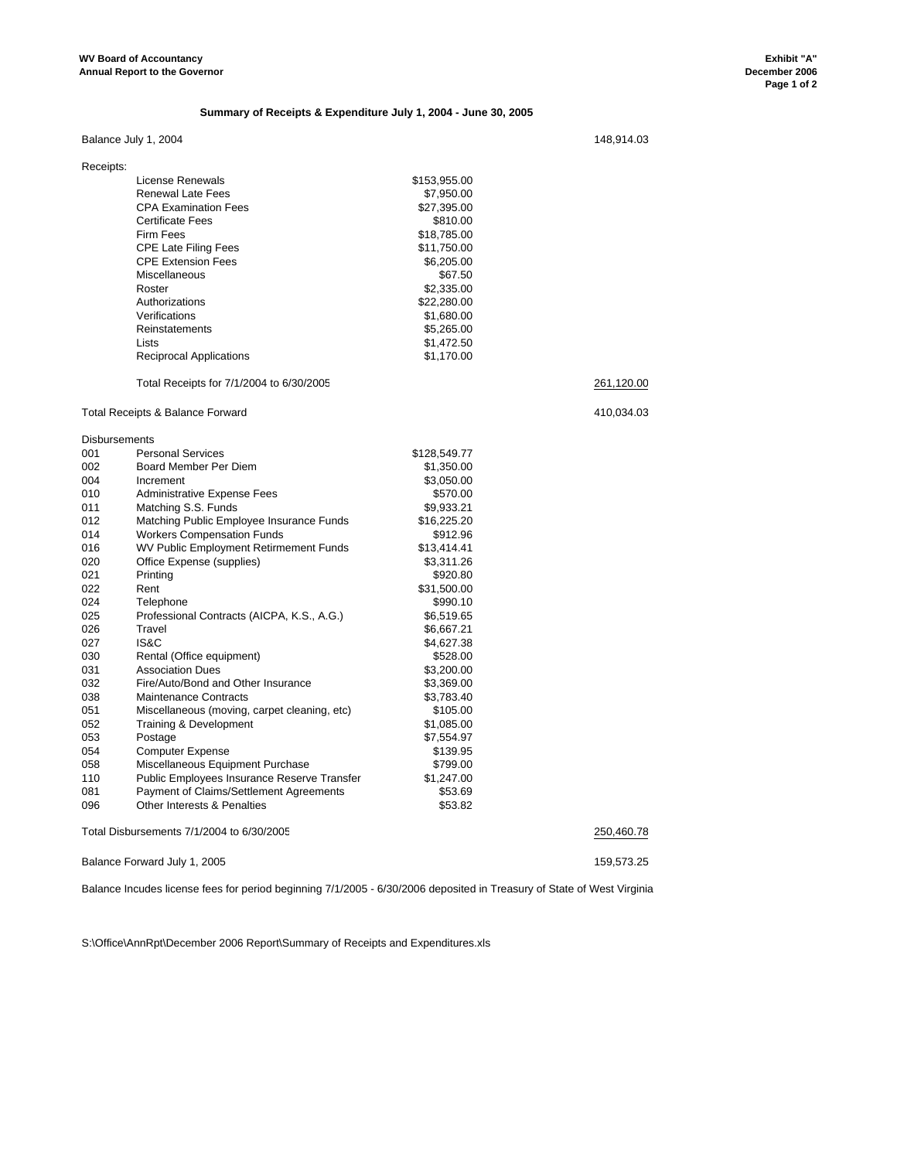#### **Summary of Receipts & Expenditure July 1, 2004 - June 30, 2005**

Balance July 1, 2004 148,914.03

| Receipts: |                                              |              |            |
|-----------|----------------------------------------------|--------------|------------|
|           | License Renewals                             | \$153,955.00 |            |
|           | <b>Renewal Late Fees</b>                     | \$7,950.00   |            |
|           | <b>CPA Examination Fees</b>                  | \$27,395.00  |            |
|           | <b>Certificate Fees</b>                      | \$810.00     |            |
|           | <b>Firm Fees</b>                             | \$18,785.00  |            |
|           | <b>CPE Late Filing Fees</b>                  | \$11,750.00  |            |
|           | <b>CPE Extension Fees</b>                    | \$6,205.00   |            |
|           | <b>Miscellaneous</b>                         | \$67.50      |            |
|           | Roster                                       | \$2,335.00   |            |
|           | Authorizations                               | \$22,280.00  |            |
|           | Verifications                                | \$1,680.00   |            |
|           | Reinstatements                               | \$5,265.00   |            |
|           | Lists                                        | \$1,472.50   |            |
|           | <b>Reciprocal Applications</b>               | \$1,170.00   |            |
|           | Total Receipts for 7/1/2004 to 6/30/2005     |              | 261,120.00 |
|           | <b>Total Receipts &amp; Balance Forward</b>  |              | 410,034.03 |
|           | <b>Disbursements</b>                         |              |            |
| 001       | <b>Personal Services</b>                     | \$128,549.77 |            |
| 002       | Board Member Per Diem                        | \$1,350.00   |            |
| 004       | Increment                                    | \$3,050.00   |            |
| 010       | <b>Administrative Expense Fees</b>           | \$570.00     |            |
| 011       | Matching S.S. Funds                          | \$9,933.21   |            |
| 012       | Matching Public Employee Insurance Funds     | \$16,225.20  |            |
| 014       | <b>Workers Compensation Funds</b>            | \$912.96     |            |
| 016       | WV Public Employment Retirmement Funds       | \$13,414.41  |            |
| 020       | Office Expense (supplies)                    | \$3,311.26   |            |
| 021       | Printing                                     | \$920.80     |            |
| 022       | Rent                                         | \$31,500.00  |            |
| 024       | Telephone                                    | \$990.10     |            |
| 025       | Professional Contracts (AICPA, K.S., A.G.)   | \$6,519.65   |            |
| 026       | Travel                                       | \$6,667.21   |            |
| 027       | IS&C                                         | \$4,627.38   |            |
| 030       | Rental (Office equipment)                    | \$528.00     |            |
| 031       | <b>Association Dues</b>                      | \$3,200.00   |            |
| 032       | Fire/Auto/Bond and Other Insurance           | \$3,369.00   |            |
| 038       | <b>Maintenance Contracts</b>                 | \$3,783.40   |            |
| 051       | Miscellaneous (moving, carpet cleaning, etc) | \$105.00     |            |
| 052       | Training & Development                       | \$1,085.00   |            |
| 053       | Postage                                      | \$7,554.97   |            |
| 054       | <b>Computer Expense</b>                      | \$139.95     |            |
| 058       | Miscellaneous Equipment Purchase             | \$799.00     |            |
| 110       | Public Employees Insurance Reserve Transfer  | \$1,247.00   |            |
| 081       | Payment of Claims/Settlement Agreements      | \$53.69      |            |
| 096       | Other Interests & Penalties                  | \$53.82      |            |

Total Disbursements 7/1/2004 to 6/30/2005 250,460.78

Balance Forward July 1, 2005 159,573.25

Balance Incudes license fees for period beginning 7/1/2005 - 6/30/2006 deposited in Treasury of State of West Virginia

S:\Office\AnnRpt\December 2006 Report\Summary of Receipts and Expenditures.xls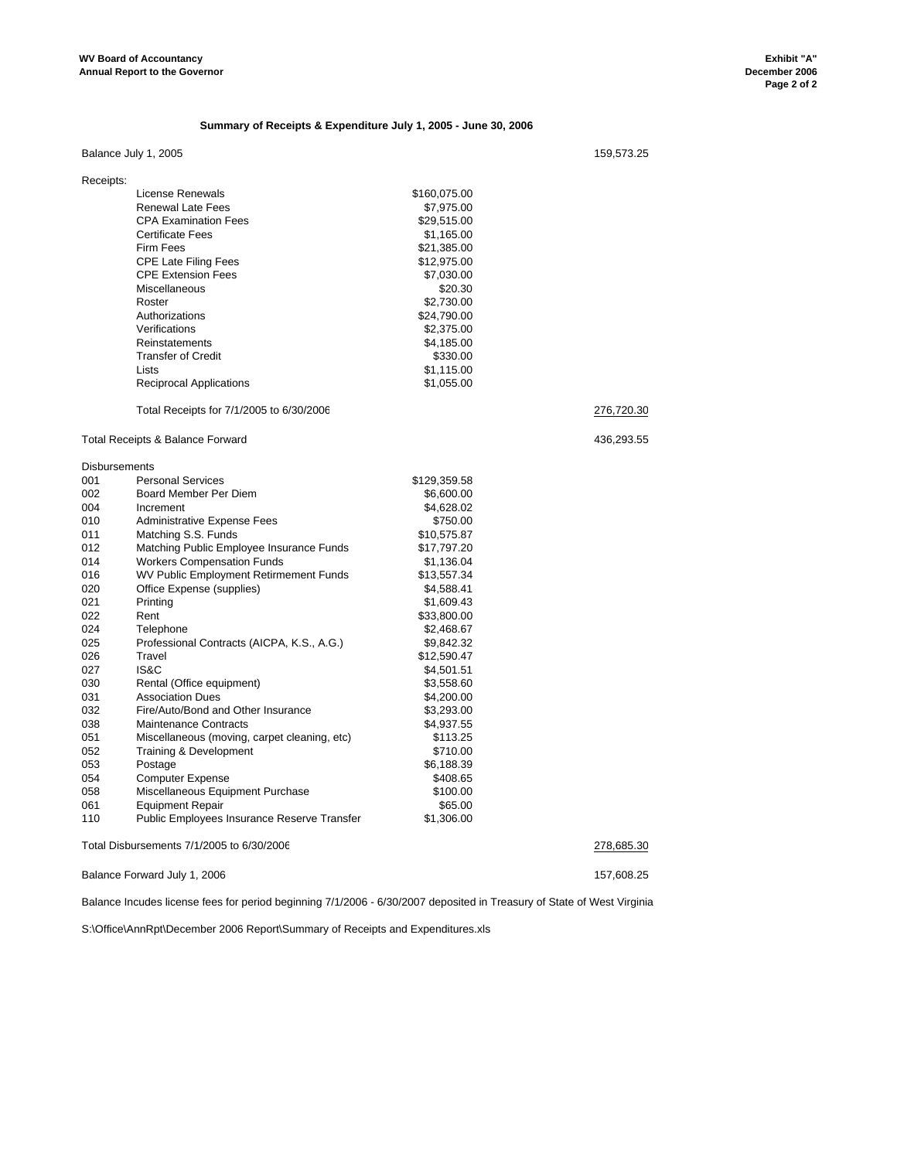#### **Summary of Receipts & Expenditure July 1, 2005 - June 30, 2006**

## Balance July 1, 2005 159,573.25

| Receipts:            |                                              |              |            |
|----------------------|----------------------------------------------|--------------|------------|
|                      | License Renewals                             | \$160,075.00 |            |
|                      | <b>Renewal Late Fees</b>                     | \$7,975.00   |            |
|                      | <b>CPA Examination Fees</b>                  | \$29,515.00  |            |
|                      | <b>Certificate Fees</b>                      | \$1,165.00   |            |
|                      | <b>Firm Fees</b>                             | \$21,385.00  |            |
|                      | <b>CPE Late Filing Fees</b>                  | \$12,975.00  |            |
|                      | <b>CPE Extension Fees</b>                    | \$7,030.00   |            |
|                      | Miscellaneous                                | \$20.30      |            |
|                      | Roster                                       | \$2,730.00   |            |
|                      | Authorizations                               | \$24,790.00  |            |
|                      | Verifications                                | \$2,375.00   |            |
|                      | Reinstatements                               | \$4,185.00   |            |
|                      | <b>Transfer of Credit</b>                    | \$330.00     |            |
|                      | Lists                                        | \$1,115.00   |            |
|                      | <b>Reciprocal Applications</b>               | \$1,055.00   |            |
|                      |                                              |              |            |
|                      | Total Receipts for 7/1/2005 to 6/30/2006     |              | 276,720.30 |
|                      | Total Receipts & Balance Forward             |              | 436,293.55 |
| <b>Disbursements</b> |                                              |              |            |
| 001                  | <b>Personal Services</b>                     | \$129,359.58 |            |
| 002                  | Board Member Per Diem                        | \$6,600.00   |            |
| 004                  | Increment                                    | \$4,628.02   |            |
| 010                  | <b>Administrative Expense Fees</b>           | \$750.00     |            |
| 011                  | Matching S.S. Funds                          | \$10,575.87  |            |
| 012                  | Matching Public Employee Insurance Funds     | \$17,797.20  |            |
| 014                  | <b>Workers Compensation Funds</b>            | \$1,136.04   |            |
| 016                  | WV Public Employment Retirmement Funds       | \$13,557.34  |            |
| 020                  | Office Expense (supplies)                    | \$4,588.41   |            |
| 021                  | Printing                                     | \$1,609.43   |            |
| 022                  | Rent                                         | \$33,800.00  |            |
| 024                  | Telephone                                    | \$2,468.67   |            |
| 025                  | Professional Contracts (AICPA, K.S., A.G.)   | \$9,842.32   |            |
| 026                  | Travel                                       | \$12,590.47  |            |
| 027                  | IS&C                                         | \$4,501.51   |            |
| 030                  | Rental (Office equipment)                    | \$3,558.60   |            |
| 031                  | <b>Association Dues</b>                      | \$4,200.00   |            |
| 032                  | Fire/Auto/Bond and Other Insurance           | \$3,293.00   |            |
| 038                  | <b>Maintenance Contracts</b>                 | \$4,937.55   |            |
| 051                  | Miscellaneous (moving, carpet cleaning, etc) | \$113.25     |            |
| 052                  | Training & Development                       | \$710.00     |            |
| 053                  | Postage                                      | \$6,188.39   |            |
|                      |                                              |              |            |
| 054                  | <b>Computer Expense</b>                      | \$408.65     |            |
| 058                  | Miscellaneous Equipment Purchase             | \$100.00     |            |
| 061                  | <b>Equipment Repair</b>                      | \$65.00      |            |
| 110                  | Public Employees Insurance Reserve Transfer  | \$1,306.00   |            |
|                      | Total Disbursements 7/1/2005 to 6/30/2006    |              | 278,685.30 |

Balance Forward July 1, 2006 157,608.25

Balance Incudes license fees for period beginning 7/1/2006 - 6/30/2007 deposited in Treasury of State of West Virginia

S:\Office\AnnRpt\December 2006 Report\Summary of Receipts and Expenditures.xls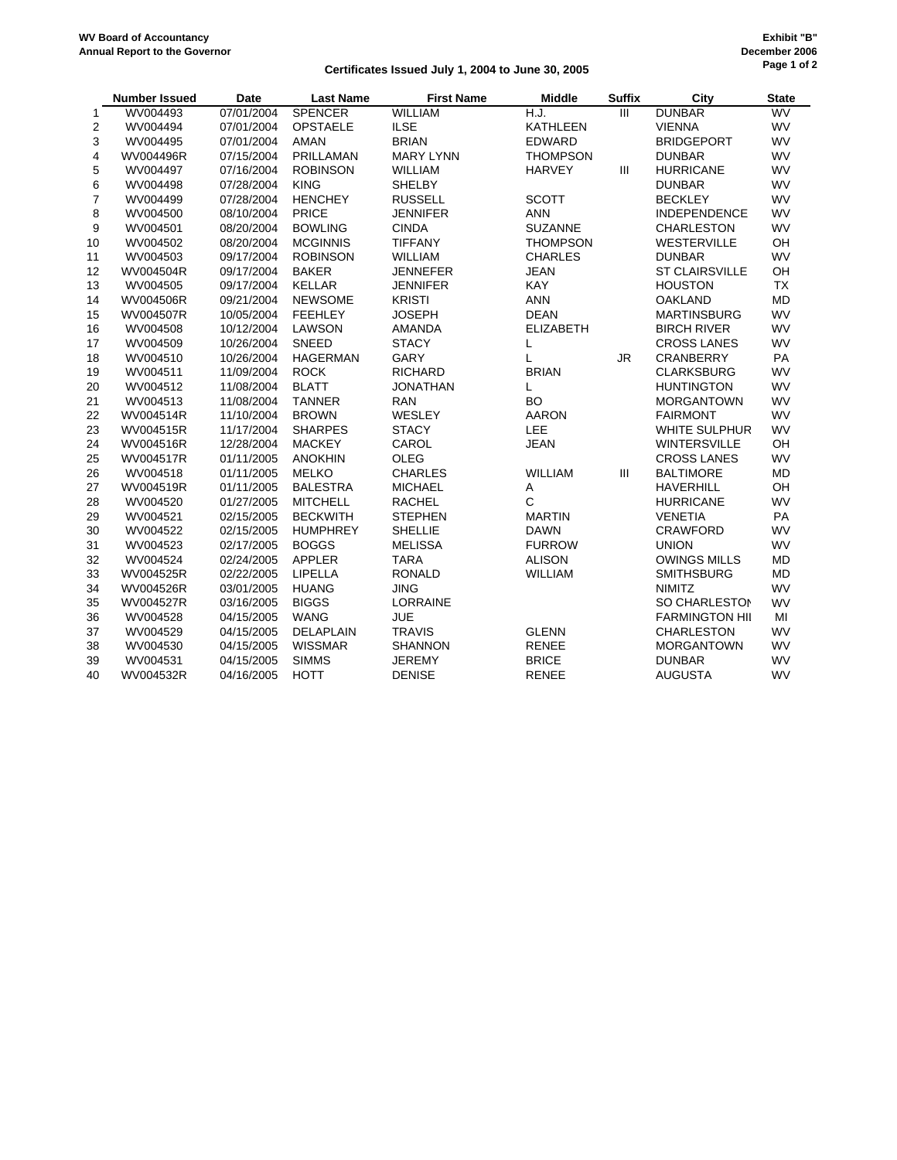### **Certificates Issued July 1, 2004 to June 30, 2005**

|    | <b>Number Issued</b> | Date       | <b>Last Name</b> | <b>First Name</b> | <b>Middle</b>    | <b>Suffix</b>             | City                  | <b>State</b> |
|----|----------------------|------------|------------------|-------------------|------------------|---------------------------|-----------------------|--------------|
| 1  | WV004493             | 07/01/2004 | <b>SPENCER</b>   | <b>WILLIAM</b>    | H.J.             | $\overline{\mathsf{III}}$ | <b>DUNBAR</b>         | WV           |
| 2  | WV004494             | 07/01/2004 | <b>OPSTAELE</b>  | <b>ILSE</b>       | <b>KATHLEEN</b>  |                           | <b>VIENNA</b>         | WV           |
| 3  | WV004495             | 07/01/2004 | <b>AMAN</b>      | <b>BRIAN</b>      | <b>EDWARD</b>    |                           | <b>BRIDGEPORT</b>     | <b>WV</b>    |
| 4  | WV004496R            | 07/15/2004 | PRILLAMAN        | <b>MARY LYNN</b>  | <b>THOMPSON</b>  |                           | <b>DUNBAR</b>         | <b>WV</b>    |
| 5  | WV004497             | 07/16/2004 | <b>ROBINSON</b>  | <b>WILLIAM</b>    | <b>HARVEY</b>    | III                       | <b>HURRICANE</b>      | <b>WV</b>    |
| 6  | WV004498             | 07/28/2004 | <b>KING</b>      | <b>SHELBY</b>     |                  |                           | <b>DUNBAR</b>         | WV           |
| 7  | WV004499             | 07/28/2004 | <b>HENCHEY</b>   | <b>RUSSELL</b>    | <b>SCOTT</b>     |                           | <b>BECKLEY</b>        | <b>WV</b>    |
| 8  | WV004500             | 08/10/2004 | <b>PRICE</b>     | <b>JENNIFER</b>   | <b>ANN</b>       |                           | <b>INDEPENDENCE</b>   | <b>WV</b>    |
| 9  | WV004501             | 08/20/2004 | <b>BOWLING</b>   | <b>CINDA</b>      | <b>SUZANNE</b>   |                           | <b>CHARLESTON</b>     | WV           |
| 10 | WV004502             | 08/20/2004 | <b>MCGINNIS</b>  | <b>TIFFANY</b>    | <b>THOMPSON</b>  |                           | <b>WESTERVILLE</b>    | OH           |
| 11 | WV004503             | 09/17/2004 | <b>ROBINSON</b>  | <b>WILLIAM</b>    | <b>CHARLES</b>   |                           | <b>DUNBAR</b>         | <b>WV</b>    |
| 12 | WV004504R            | 09/17/2004 | <b>BAKER</b>     | <b>JENNEFER</b>   | <b>JEAN</b>      |                           | <b>ST CLAIRSVILLE</b> | OH           |
| 13 | WV004505             | 09/17/2004 | <b>KELLAR</b>    | <b>JENNIFER</b>   | <b>KAY</b>       |                           | <b>HOUSTON</b>        | <b>TX</b>    |
| 14 | WV004506R            | 09/21/2004 | <b>NEWSOME</b>   | <b>KRISTI</b>     | <b>ANN</b>       |                           | <b>OAKLAND</b>        | <b>MD</b>    |
| 15 | WV004507R            | 10/05/2004 | <b>FEEHLEY</b>   | <b>JOSEPH</b>     | <b>DEAN</b>      |                           | <b>MARTINSBURG</b>    | WV           |
| 16 | WV004508             | 10/12/2004 | LAWSON           | <b>AMANDA</b>     | <b>ELIZABETH</b> |                           | <b>BIRCH RIVER</b>    | WV           |
| 17 | WV004509             | 10/26/2004 | <b>SNEED</b>     | <b>STACY</b>      | L                |                           | <b>CROSS LANES</b>    | <b>WV</b>    |
| 18 | WV004510             | 10/26/2004 | <b>HAGERMAN</b>  | GARY              | L                | JR                        | CRANBERRY             | PA           |
| 19 | WV004511             | 11/09/2004 | <b>ROCK</b>      | <b>RICHARD</b>    | <b>BRIAN</b>     |                           | <b>CLARKSBURG</b>     | <b>WV</b>    |
| 20 | WV004512             | 11/08/2004 | <b>BLATT</b>     | <b>JONATHAN</b>   | L                |                           | <b>HUNTINGTON</b>     | WV           |
| 21 | WV004513             | 11/08/2004 | <b>TANNER</b>    | <b>RAN</b>        | <b>BO</b>        |                           | <b>MORGANTOWN</b>     | <b>WV</b>    |
| 22 | WV004514R            | 11/10/2004 | <b>BROWN</b>     | WESLEY            | <b>AARON</b>     |                           | <b>FAIRMONT</b>       | <b>WV</b>    |
| 23 | WV004515R            | 11/17/2004 | <b>SHARPES</b>   | <b>STACY</b>      | LEE              |                           | <b>WHITE SULPHUR</b>  | <b>WV</b>    |
| 24 | WV004516R            | 12/28/2004 | <b>MACKEY</b>    | CAROL             | <b>JEAN</b>      |                           | <b>WINTERSVILLE</b>   | OH           |
| 25 | WV004517R            | 01/11/2005 | <b>ANOKHIN</b>   | <b>OLEG</b>       |                  |                           | <b>CROSS LANES</b>    | WV           |
| 26 | WV004518             | 01/11/2005 | <b>MELKO</b>     | <b>CHARLES</b>    | <b>WILLIAM</b>   | III                       | <b>BALTIMORE</b>      | <b>MD</b>    |
| 27 | WV004519R            | 01/11/2005 | <b>BALESTRA</b>  | <b>MICHAEL</b>    | A                |                           | <b>HAVERHILL</b>      | OH           |
| 28 | WV004520             | 01/27/2005 | <b>MITCHELL</b>  | <b>RACHEL</b>     | $\mathsf{C}$     |                           | <b>HURRICANE</b>      | <b>WV</b>    |
| 29 | WV004521             | 02/15/2005 | <b>BECKWITH</b>  | <b>STEPHEN</b>    | <b>MARTIN</b>    |                           | <b>VENETIA</b>        | PA           |
| 30 | WV004522             | 02/15/2005 | <b>HUMPHREY</b>  | <b>SHELLIE</b>    | <b>DAWN</b>      |                           | <b>CRAWFORD</b>       | <b>WV</b>    |
| 31 | WV004523             | 02/17/2005 | <b>BOGGS</b>     | <b>MELISSA</b>    | <b>FURROW</b>    |                           | <b>UNION</b>          | <b>WV</b>    |
| 32 | WV004524             | 02/24/2005 | <b>APPLER</b>    | <b>TARA</b>       | <b>ALISON</b>    |                           | <b>OWINGS MILLS</b>   | <b>MD</b>    |
| 33 | WV004525R            | 02/22/2005 | LIPELLA          | <b>RONALD</b>     | <b>WILLIAM</b>   |                           | <b>SMITHSBURG</b>     | <b>MD</b>    |
| 34 | WV004526R            | 03/01/2005 | <b>HUANG</b>     | <b>JING</b>       |                  |                           | <b>NIMITZ</b>         | WV           |
| 35 | WV004527R            | 03/16/2005 | <b>BIGGS</b>     | <b>LORRAINE</b>   |                  |                           | SO CHARLESTON         | WV           |
| 36 | WV004528             | 04/15/2005 | <b>WANG</b>      | <b>JUE</b>        |                  |                           | <b>FARMINGTON HII</b> | MI           |
| 37 | WV004529             | 04/15/2005 | DELAPLAIN        | <b>TRAVIS</b>     | <b>GLENN</b>     |                           | <b>CHARLESTON</b>     | <b>WV</b>    |
| 38 | WV004530             | 04/15/2005 | <b>WISSMAR</b>   | <b>SHANNON</b>    | <b>RENEE</b>     |                           | <b>MORGANTOWN</b>     | <b>WV</b>    |
| 39 | WV004531             | 04/15/2005 | <b>SIMMS</b>     | <b>JEREMY</b>     | <b>BRICE</b>     |                           | <b>DUNBAR</b>         | WV           |
| 40 | WV004532R            | 04/16/2005 | <b>HOTT</b>      | <b>DENISE</b>     | <b>RENEE</b>     |                           | <b>AUGUSTA</b>        | WV           |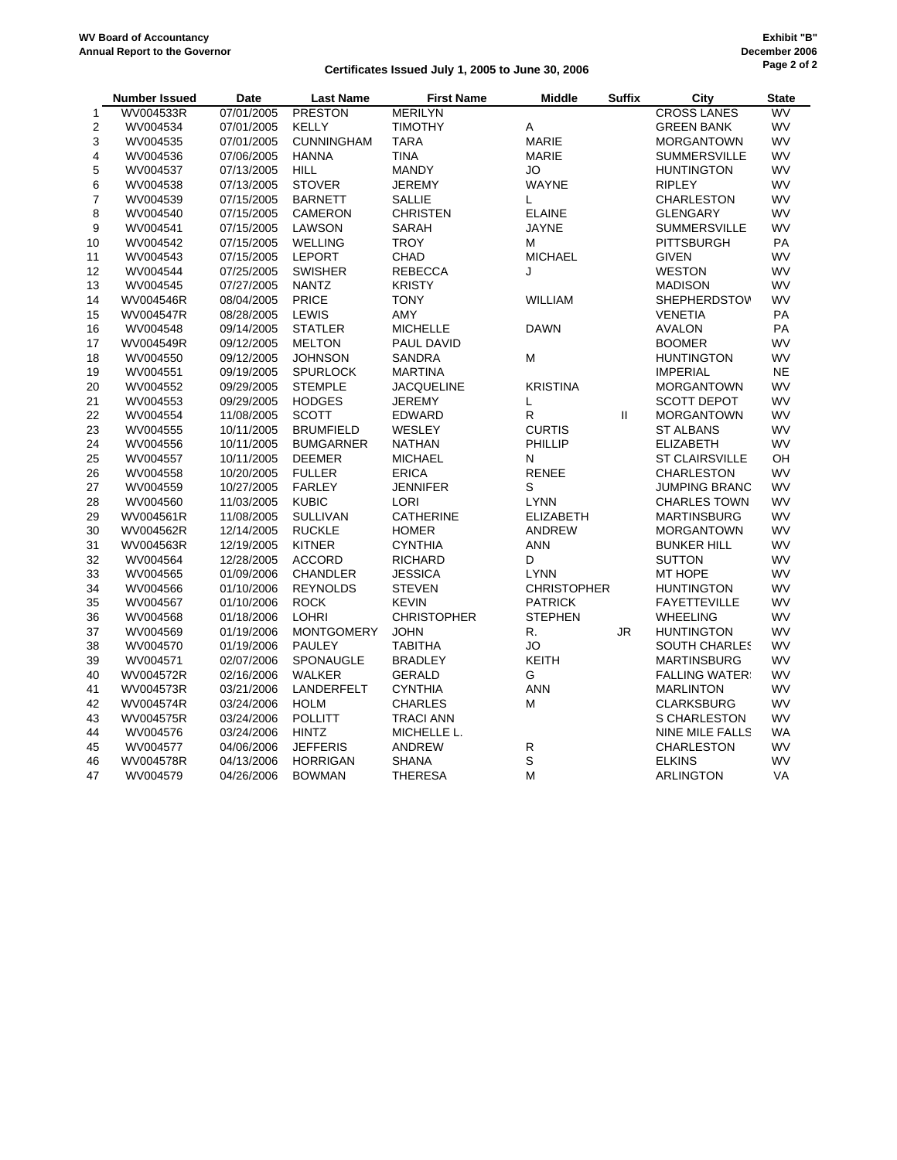### **Certificates Issued July 1, 2005 to June 30, 2006**

|    | <b>Number Issued</b> | Date       | <b>Last Name</b>  | <b>First Name</b>  | <b>Middle</b>      | <b>Suffix</b> | City                  | <b>State</b> |
|----|----------------------|------------|-------------------|--------------------|--------------------|---------------|-----------------------|--------------|
| 1  | WV004533R            | 07/01/2005 | <b>PRESTON</b>    | <b>MERILYN</b>     |                    |               | <b>CROSS LANES</b>    | WV           |
| 2  | WV004534             | 07/01/2005 | <b>KELLY</b>      | <b>TIMOTHY</b>     | Α                  |               | <b>GREEN BANK</b>     | <b>WV</b>    |
| 3  | WV004535             | 07/01/2005 | <b>CUNNINGHAM</b> | <b>TARA</b>        | <b>MARIE</b>       |               | <b>MORGANTOWN</b>     | WV           |
| 4  | WV004536             | 07/06/2005 | <b>HANNA</b>      | <b>TINA</b>        | <b>MARIE</b>       |               | <b>SUMMERSVILLE</b>   | WV           |
| 5  | WV004537             | 07/13/2005 | <b>HILL</b>       | <b>MANDY</b>       | JO                 |               | <b>HUNTINGTON</b>     | WV           |
| 6  | WV004538             | 07/13/2005 | <b>STOVER</b>     | <b>JEREMY</b>      | <b>WAYNE</b>       |               | <b>RIPLEY</b>         | WV           |
| 7  | WV004539             | 07/15/2005 | <b>BARNETT</b>    | <b>SALLIE</b>      | L                  |               | <b>CHARLESTON</b>     | <b>WV</b>    |
| 8  | WV004540             | 07/15/2005 | <b>CAMERON</b>    | <b>CHRISTEN</b>    | <b>ELAINE</b>      |               | <b>GLENGARY</b>       | WV           |
| 9  | WV004541             | 07/15/2005 | LAWSON            | <b>SARAH</b>       | <b>JAYNE</b>       |               | <b>SUMMERSVILLE</b>   | WV           |
| 10 | WV004542             | 07/15/2005 | <b>WELLING</b>    | <b>TROY</b>        | М                  |               | <b>PITTSBURGH</b>     | PA           |
| 11 | WV004543             | 07/15/2005 | <b>LEPORT</b>     | <b>CHAD</b>        | <b>MICHAEL</b>     |               | <b>GIVEN</b>          | WV           |
| 12 | WV004544             | 07/25/2005 | <b>SWISHER</b>    | <b>REBECCA</b>     | J                  |               | <b>WESTON</b>         | WV           |
| 13 | WV004545             | 07/27/2005 | <b>NANTZ</b>      | <b>KRISTY</b>      |                    |               | <b>MADISON</b>        | WV           |
| 14 | WV004546R            | 08/04/2005 | <b>PRICE</b>      | <b>TONY</b>        | <b>WILLIAM</b>     |               | <b>SHEPHERDSTOV</b>   | WV           |
| 15 | WV004547R            | 08/28/2005 | <b>LEWIS</b>      | AMY                |                    |               | <b>VENETIA</b>        | PA           |
| 16 | WV004548             | 09/14/2005 | <b>STATLER</b>    | <b>MICHELLE</b>    | <b>DAWN</b>        |               | <b>AVALON</b>         | PA           |
| 17 | WV004549R            | 09/12/2005 | <b>MELTON</b>     | PAUL DAVID         |                    |               | <b>BOOMER</b>         | WV           |
| 18 | WV004550             | 09/12/2005 | <b>JOHNSON</b>    | SANDRA             | M                  |               | <b>HUNTINGTON</b>     | WV           |
| 19 | WV004551             | 09/19/2005 | <b>SPURLOCK</b>   | <b>MARTINA</b>     |                    |               | <b>IMPERIAL</b>       | <b>NE</b>    |
| 20 | WV004552             | 09/29/2005 | <b>STEMPLE</b>    | <b>JACQUELINE</b>  | <b>KRISTINA</b>    |               | <b>MORGANTOWN</b>     | WV           |
| 21 | WV004553             | 09/29/2005 | <b>HODGES</b>     | <b>JEREMY</b>      | L                  |               | <b>SCOTT DEPOT</b>    | WV           |
| 22 | WV004554             | 11/08/2005 | <b>SCOTT</b>      | <b>EDWARD</b>      | R                  | $\mathbf{H}$  | <b>MORGANTOWN</b>     | WV           |
| 23 | WV004555             | 10/11/2005 | <b>BRUMFIELD</b>  | WESLEY             | <b>CURTIS</b>      |               | <b>ST ALBANS</b>      | <b>WV</b>    |
| 24 | WV004556             | 10/11/2005 | <b>BUMGARNER</b>  | <b>NATHAN</b>      | PHILLIP            |               | <b>ELIZABETH</b>      | <b>WV</b>    |
| 25 | WV004557             | 10/11/2005 | <b>DEEMER</b>     | <b>MICHAEL</b>     | N                  |               | <b>ST CLAIRSVILLE</b> | OH           |
| 26 | WV004558             | 10/20/2005 | <b>FULLER</b>     | <b>ERICA</b>       | <b>RENEE</b>       |               | <b>CHARLESTON</b>     | <b>WV</b>    |
| 27 | WV004559             | 10/27/2005 | <b>FARLEY</b>     | <b>JENNIFER</b>    | S                  |               | <b>JUMPING BRANC</b>  | WV           |
| 28 | WV004560             | 11/03/2005 | <b>KUBIC</b>      | <b>LORI</b>        | <b>LYNN</b>        |               | <b>CHARLES TOWN</b>   | <b>WV</b>    |
| 29 | WV004561R            | 11/08/2005 | <b>SULLIVAN</b>   | <b>CATHERINE</b>   | <b>ELIZABETH</b>   |               | <b>MARTINSBURG</b>    | <b>WV</b>    |
| 30 | WV004562R            | 12/14/2005 | <b>RUCKLE</b>     | <b>HOMER</b>       | <b>ANDREW</b>      |               | <b>MORGANTOWN</b>     | <b>WV</b>    |
| 31 | WV004563R            | 12/19/2005 | <b>KITNER</b>     | <b>CYNTHIA</b>     | <b>ANN</b>         |               | <b>BUNKER HILL</b>    | <b>WV</b>    |
| 32 | WV004564             | 12/28/2005 | <b>ACCORD</b>     | <b>RICHARD</b>     | D                  |               | <b>SUTTON</b>         | WV           |
| 33 | WV004565             | 01/09/2006 | <b>CHANDLER</b>   | <b>JESSICA</b>     | <b>LYNN</b>        |               | MT HOPE               | <b>WV</b>    |
| 34 | WV004566             | 01/10/2006 | <b>REYNOLDS</b>   | <b>STEVEN</b>      | <b>CHRISTOPHER</b> |               | <b>HUNTINGTON</b>     | <b>WV</b>    |
| 35 | WV004567             | 01/10/2006 | <b>ROCK</b>       | <b>KEVIN</b>       | <b>PATRICK</b>     |               | <b>FAYETTEVILLE</b>   | WV           |
| 36 | WV004568             | 01/18/2006 | <b>LOHRI</b>      | <b>CHRISTOPHER</b> | <b>STEPHEN</b>     |               | <b>WHEELING</b>       | WV           |
| 37 | WV004569             | 01/19/2006 | <b>MONTGOMERY</b> | <b>JOHN</b>        | R.                 | <b>JR</b>     | <b>HUNTINGTON</b>     | WV           |
| 38 | WV004570             | 01/19/2006 | PAULEY            | <b>TABITHA</b>     | JO                 |               | <b>SOUTH CHARLES</b>  | WV           |
| 39 | WV004571             | 02/07/2006 | SPONAUGLE         | <b>BRADLEY</b>     | <b>KEITH</b>       |               | <b>MARTINSBURG</b>    | <b>WV</b>    |
| 40 | WV004572R            | 02/16/2006 | <b>WALKER</b>     | <b>GERALD</b>      | G                  |               | <b>FALLING WATER:</b> | WV           |
| 41 | WV004573R            | 03/21/2006 | LANDERFELT        | <b>CYNTHIA</b>     | <b>ANN</b>         |               | <b>MARLINTON</b>      | <b>WV</b>    |
| 42 | WV004574R            | 03/24/2006 | <b>HOLM</b>       | <b>CHARLES</b>     | М                  |               | <b>CLARKSBURG</b>     | WV           |
| 43 | WV004575R            | 03/24/2006 | <b>POLLITT</b>    | <b>TRACI ANN</b>   |                    |               | S CHARLESTON          | WV           |
| 44 | WV004576             | 03/24/2006 | <b>HINTZ</b>      | MICHELLE L.        |                    |               | NINE MILE FALLS       | WA           |
| 45 | WV004577             | 04/06/2006 | <b>JEFFERIS</b>   | <b>ANDREW</b>      | ${\sf R}$          |               | <b>CHARLESTON</b>     | WV           |
| 46 | WV004578R            | 04/13/2006 | <b>HORRIGAN</b>   | <b>SHANA</b>       | $\mathsf S$        |               | <b>ELKINS</b>         | WV           |
| 47 | WV004579             | 04/26/2006 | <b>BOWMAN</b>     | <b>THERESA</b>     | M                  |               | <b>ARLINGTON</b>      | VA           |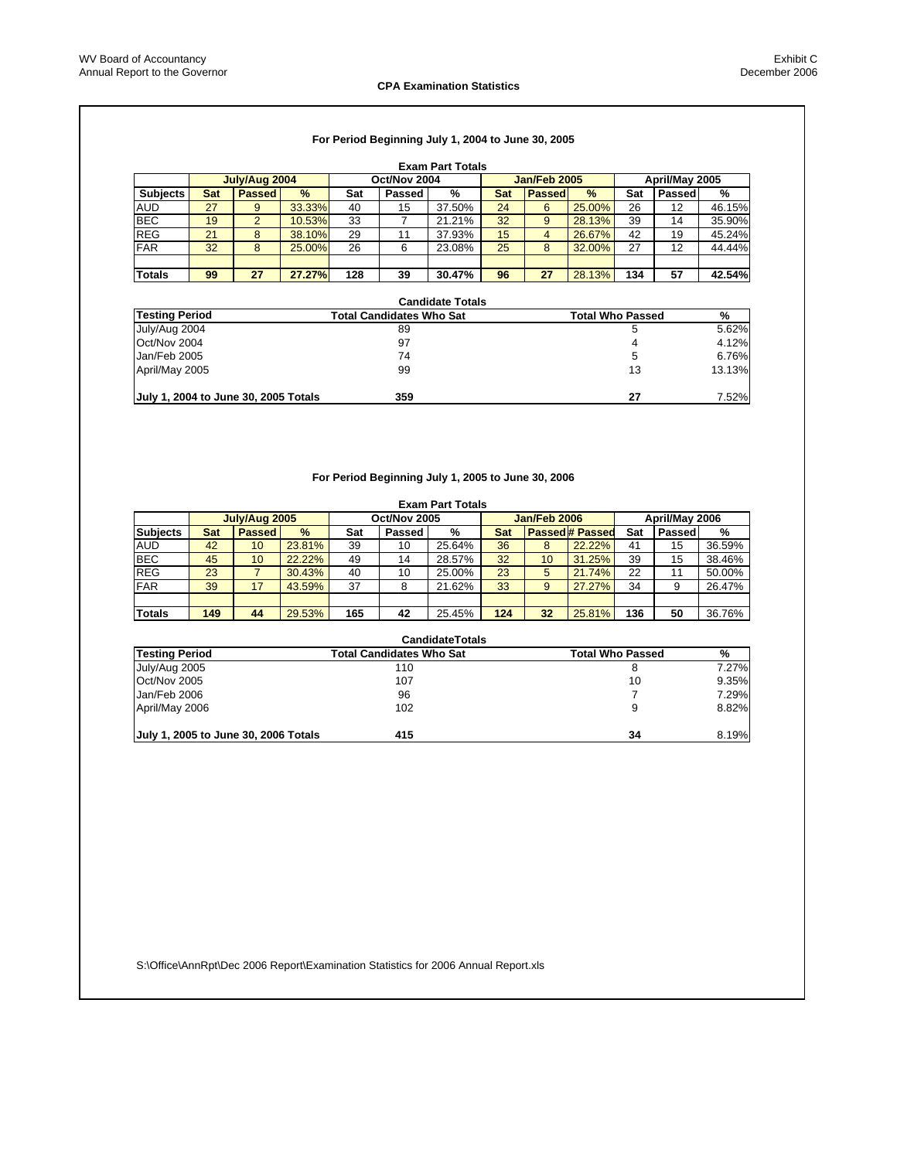#### **CPA Examination Statistics**

## **For Period Beginning July 1, 2004 to June 30, 2005**

|                 | <b>Exam Part Totals</b> |                |               |     |              |        |     |               |        |     |                |        |
|-----------------|-------------------------|----------------|---------------|-----|--------------|--------|-----|---------------|--------|-----|----------------|--------|
|                 |                         | July/Aug 2004  |               |     | Oct/Nov 2004 |        |     | Jan/Feb 2005  |        |     | April/May 2005 |        |
| <b>Subjects</b> | Sat                     | <b>Passed</b>  | $\frac{9}{6}$ | Sat | Passed       | %      | Sat | <b>Passed</b> | $\%$   | Sat | Passed         | %      |
| <b>AUD</b>      | 27                      | 9              | 33.33%        | 40  | 15           | 37.50% | 24  | 6             | 25.00% | 26  | 12             | 46.15% |
| <b>BEC</b>      | 19                      | $\overline{2}$ | 10.53%        | 33  |              | 21.21% | 32  | 9             | 28.13% | 39  | 14             | 35.90% |
| <b>REG</b>      | 21                      | 8              | 38.10%        | 29  | 11           | 37.93% | 15  | 4             | 26.67% | 42  | 19             | 45.24% |
| <b>FAR</b>      | 32                      | 8              | 25.00%        | 26  | 6            | 23.08% | 25  | 8             | 32.00% | 27  | 12             | 44.44% |
|                 |                         |                |               |     |              |        |     |               |        |     |                |        |
| <b>Totals</b>   | 99                      | 27             | 27.27%        | 128 | 39           | 30.47% | 96  | 27            | 28.13% | 134 | 57             | 42.54% |

|                                      | <b>Candidate Totals</b>         |                         |        |
|--------------------------------------|---------------------------------|-------------------------|--------|
| <b>Testing Period</b>                | <b>Total Candidates Who Sat</b> | <b>Total Who Passed</b> | %      |
| July/Aug 2004                        | 89                              | 5                       | 5.62%  |
| Oct/Nov 2004                         | 97                              | 4                       | 4.12%  |
| Jan/Feb 2005                         | 74                              | 5                       | 6.76%  |
| April/May 2005                       | 99                              | 13                      | 13.13% |
| July 1, 2004 to June 30, 2005 Totals | 359                             | 27                      | 7.52%  |

#### **For Period Beginning July 1, 2005 to June 30, 2006**

|                 | <b>Exam Part Totals</b> |               |        |     |              |        |     |                     |                        |     |                |        |
|-----------------|-------------------------|---------------|--------|-----|--------------|--------|-----|---------------------|------------------------|-----|----------------|--------|
|                 |                         | July/Aug 2005 |        |     | Oct/Nov 2005 |        |     | <b>Jan/Feb 2006</b> |                        |     | April/May 2006 |        |
| <b>Subjects</b> | Sat                     | <b>Passed</b> | $\%$   | Sat | Passed       | %      | Sat |                     | <b>Passed # Passed</b> | Sat | Passed         | %      |
| <b>AUD</b>      | 42                      | 10            | 23.81% | 39  | 10           | 25.64% | 36  | 8                   | 22.22%                 | 41  | 15             | 36.59% |
| <b>BEC</b>      | 45                      | 10            | 22.22% | 49  | 14           | 28.57% | 32  | 10                  | 31.25%                 | 39  | 15             | 38.46% |
| <b>REG</b>      | 23                      |               | 30.43% | 40  | 10           | 25.00% | 23  | 5                   | 21.74%                 | 22  | 11             | 50.00% |
| <b>FAR</b>      | 39                      | 17            | 43.59% | 37  |              | 21.62% | 33  | 9                   | 27.27%                 | 34  | 9              | 26.47% |
|                 |                         |               |        |     |              |        |     |                     |                        |     |                |        |
| <b>Totals</b>   | 149                     | 44            | 29.53% | 165 | 42           | 25.45% | 124 | 32                  | 25.81%                 | 136 | 50             | 36.76% |

|                                      | <b>CandidateTotals</b>          |                         |       |
|--------------------------------------|---------------------------------|-------------------------|-------|
| Testing Period                       | <b>Total Candidates Who Sat</b> | <b>Total Who Passed</b> | %     |
| July/Aug 2005                        | 110                             | 8                       | 7.27% |
| Oct/Nov 2005                         | 107                             | 10                      | 9.35% |
| Jan/Feb 2006                         | 96                              |                         | 7.29% |
| April/May 2006                       | 102                             | 9                       | 8.82% |
|                                      |                                 |                         |       |
| July 1, 2005 to June 30, 2006 Totals | 415                             | 34                      | 8.19% |

S:\Office\AnnRpt\Dec 2006 Report\Examination Statistics for 2006 Annual Report.xls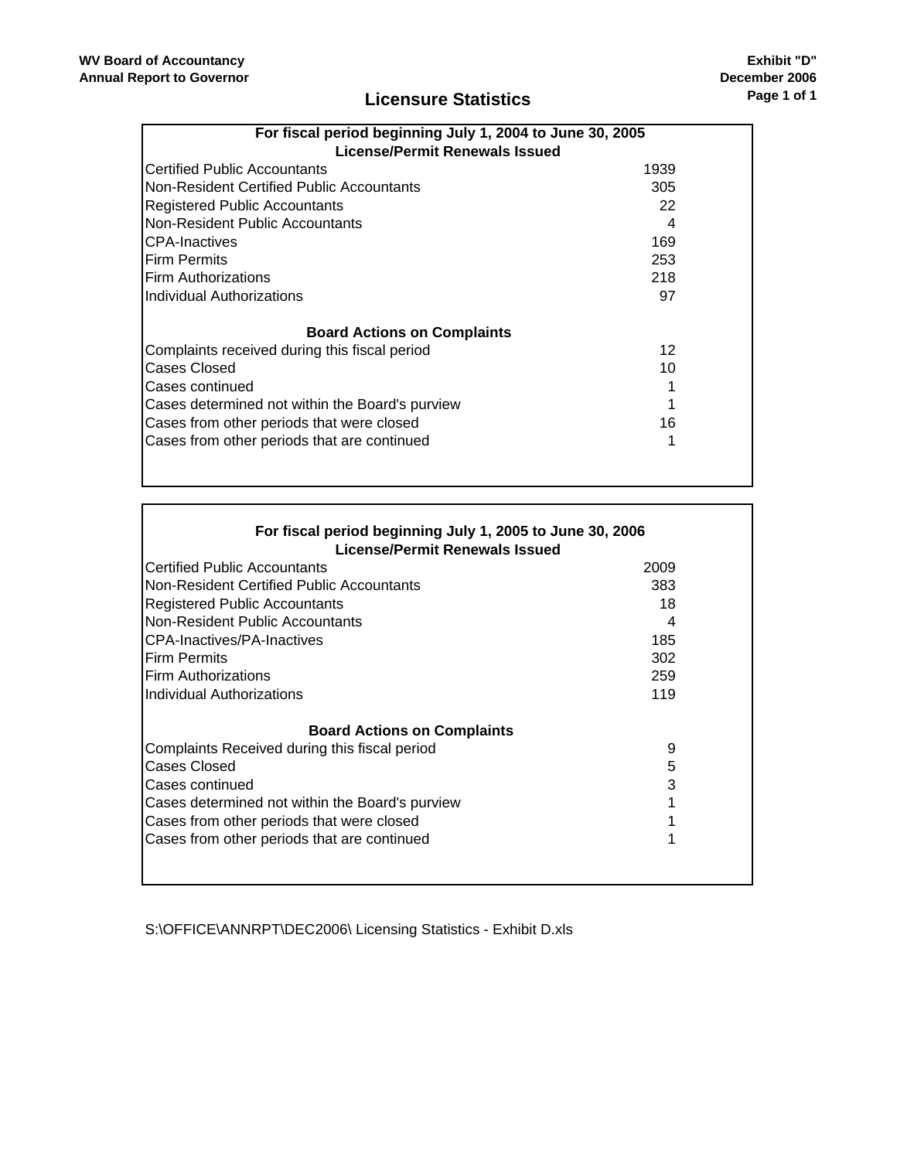$\overline{\Gamma}$ 

# **Licensure Statistics**

| License/Permit Renewals Issued                  | For fiscal period beginning July 1, 2004 to June 30, 2005 |  |  |  |  |  |
|-------------------------------------------------|-----------------------------------------------------------|--|--|--|--|--|
| Certified Public Accountants                    | 1939                                                      |  |  |  |  |  |
| Non-Resident Certified Public Accountants       | 305                                                       |  |  |  |  |  |
| <b>Registered Public Accountants</b>            | 22                                                        |  |  |  |  |  |
| Non-Resident Public Accountants                 | 4                                                         |  |  |  |  |  |
| <b>CPA-Inactives</b>                            | 169                                                       |  |  |  |  |  |
| <b>Firm Permits</b>                             | 253                                                       |  |  |  |  |  |
| Firm Authorizations                             | 218                                                       |  |  |  |  |  |
| Individual Authorizations                       | 97                                                        |  |  |  |  |  |
| <b>Board Actions on Complaints</b>              |                                                           |  |  |  |  |  |
| Complaints received during this fiscal period   | 12                                                        |  |  |  |  |  |
| Cases Closed                                    | 10                                                        |  |  |  |  |  |
| Cases continued                                 |                                                           |  |  |  |  |  |
| Cases determined not within the Board's purview |                                                           |  |  |  |  |  |
| Cases from other periods that were closed       | 16                                                        |  |  |  |  |  |
| Cases from other periods that are continued     |                                                           |  |  |  |  |  |
|                                                 |                                                           |  |  |  |  |  |
|                                                 |                                                           |  |  |  |  |  |

| For fiscal period beginning July 1, 2005 to June 30, 2006<br>License/Permit Renewals Issued |      |
|---------------------------------------------------------------------------------------------|------|
| ICertified Public Accountants                                                               | 2009 |
| INon-Resident Certified Public Accountants                                                  | 383  |
| <b>Registered Public Accountants</b>                                                        | 18   |
| Non-Resident Public Accountants                                                             | 4    |
| CPA-Inactives/PA-Inactives                                                                  | 185  |
| <b>Firm Permits</b>                                                                         | 302  |
| <b>IFirm Authorizations</b>                                                                 | 259  |
| IIndividual Authorizations                                                                  | 119  |
| <b>Board Actions on Complaints</b>                                                          |      |
| Complaints Received during this fiscal period                                               | 9    |
| <b>Cases Closed</b>                                                                         | 5    |
| lCases continued                                                                            | 3    |
| Cases determined not within the Board's purview                                             |      |
| Cases from other periods that were closed                                                   |      |
| Cases from other periods that are continued                                                 |      |
|                                                                                             |      |
|                                                                                             |      |

S:\OFFICE\ANNRPT\DEC2006\ Licensing Statistics - Exhibit D.xls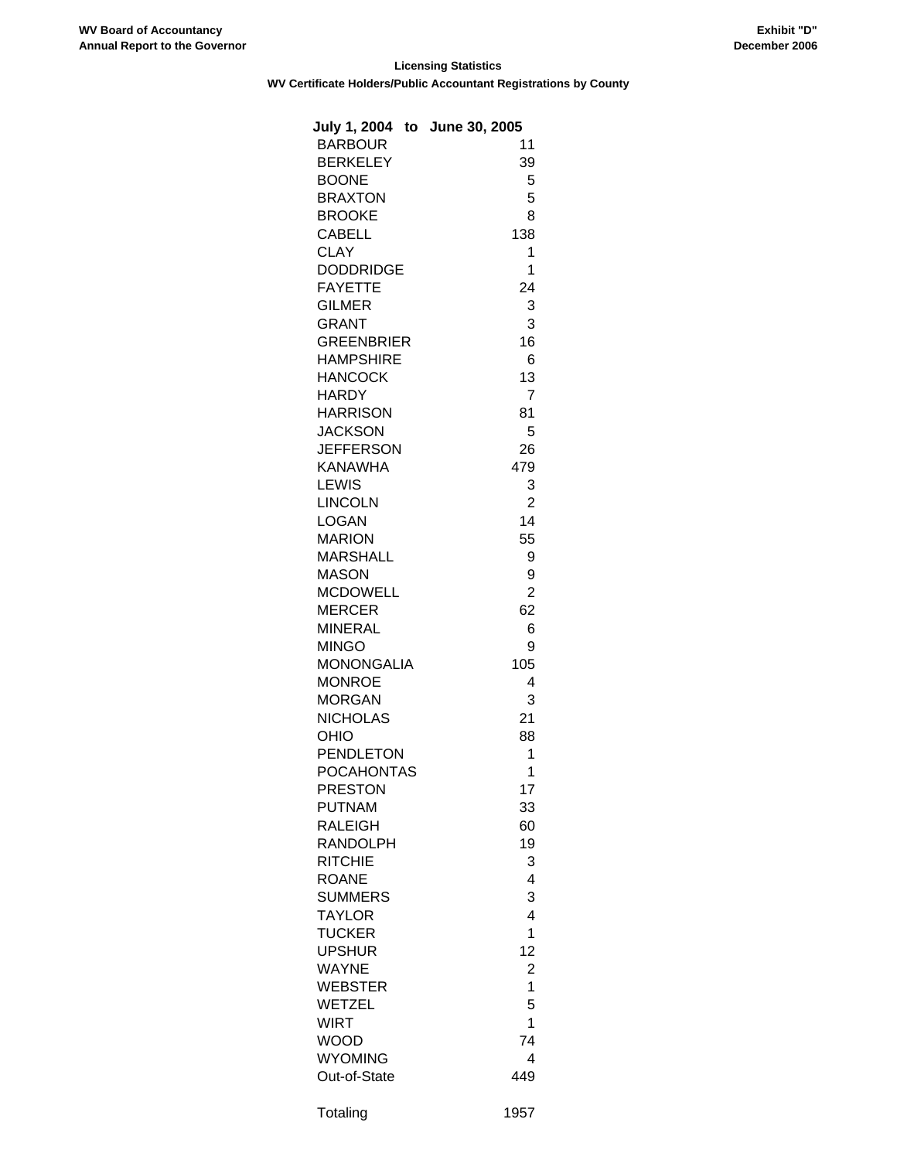# **Licensing Statistics WV Certificate Holders/Public Accountant Registrations by County**

| July 1, 2004 to June 30, 2005 |                |
|-------------------------------|----------------|
| <b>BARBOUR</b>                | 11             |
| <b>BERKELEY</b>               | 39             |
| <b>BOONE</b>                  | 5              |
| <b>BRAXTON</b>                | 5              |
| <b>BROOKE</b>                 | 8              |
| <b>CABELL</b>                 | 138            |
| <b>CLAY</b>                   | 1              |
| <b>DODDRIDGE</b>              | 1              |
| <b>FAYETTE</b>                |                |
|                               | 24             |
| <b>GILMER</b>                 | 3              |
| <b>GRANT</b>                  | 3              |
| <b>GREENBRIER</b>             | 16             |
| <b>HAMPSHIRE</b>              | 6              |
| <b>HANCOCK</b>                | 13             |
| <b>HARDY</b>                  | 7              |
| <b>HARRISON</b>               | 81             |
| <b>JACKSON</b>                | 5              |
| <b>JEFFERSON</b>              | 26             |
| <b>KANAWHA</b>                | 479            |
| LEWIS                         | 3              |
| <b>LINCOLN</b>                | $\overline{2}$ |
| <b>LOGAN</b>                  | 14             |
| <b>MARION</b>                 | 55             |
| <b>MARSHALL</b>               | 9              |
| <b>MASON</b>                  | 9              |
| <b>MCDOWELL</b>               | $\overline{2}$ |
| <b>MERCER</b>                 | 62             |
| <b>MINERAL</b>                | 6              |
|                               |                |
| <b>MINGO</b>                  | 9              |
| <b>MONONGALIA</b>             | 105            |
| <b>MONROE</b>                 | 4              |
| <b>MORGAN</b>                 | 3              |
| <b>NICHOLAS</b>               | 21             |
| OHIO                          | 88             |
| <b>PENDLETON</b>              | 1              |
| <b>POCAHONTAS</b>             | 1              |
| PRESTON                       | 17             |
| <b>PUTNAM</b>                 | 33             |
| <b>RALEIGH</b>                | 60             |
| RANDOLPH                      | 19             |
| <b>RITCHIE</b>                | 3              |
| ROANE                         | 4              |
| SUMMERS                       | 3              |
| <b>TAYLOR</b>                 | 4              |
| <b>TUCKER</b>                 | $\overline{1}$ |
| <b>UPSHUR</b>                 | 12             |
| WAYNE                         | $\overline{c}$ |
| WEBSTER                       | $\mathbf{1}$   |
| WETZEL                        | 5              |
| WIRT                          | 1              |
| WOOD                          | 74             |
| <b>WYOMING</b>                | 4              |
|                               | 449            |
| Out-of-State                  |                |
| Totaling                      | 1957           |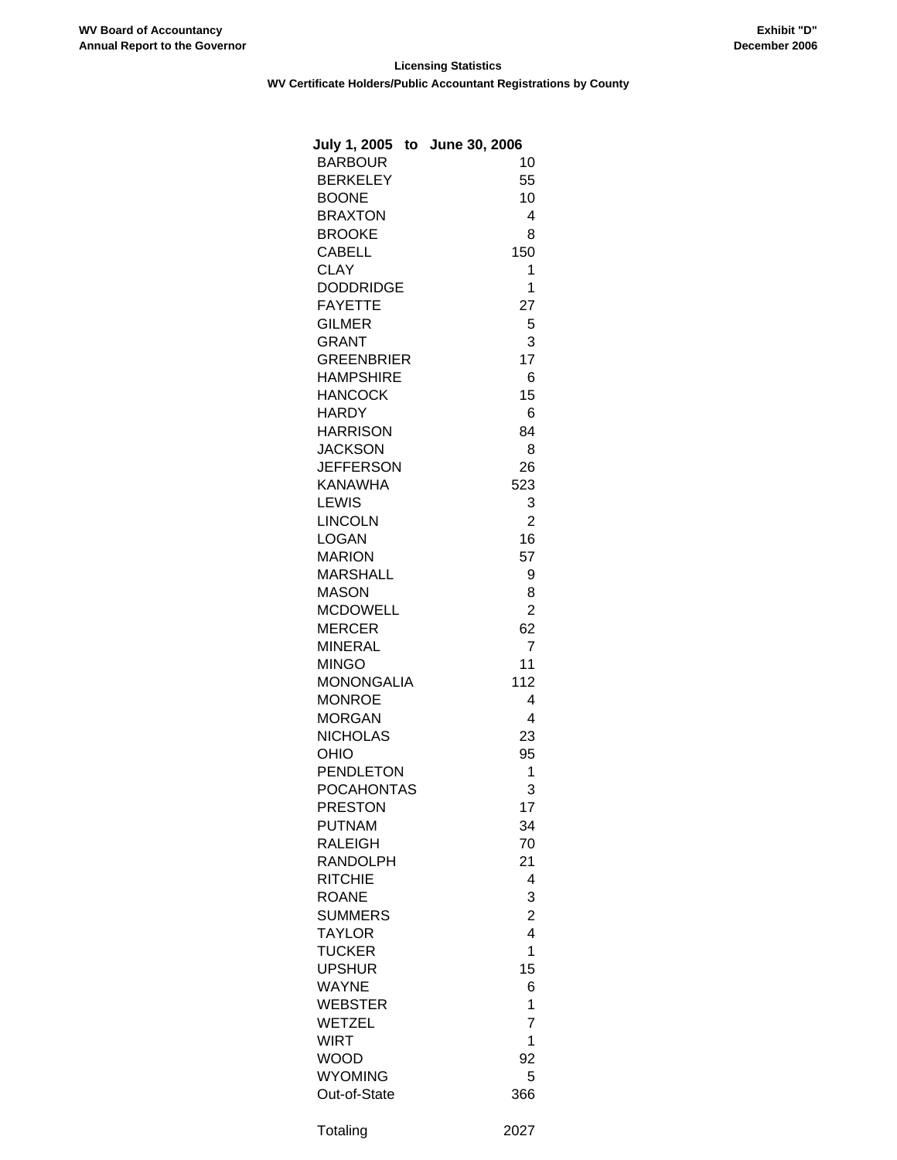# **Licensing Statistics WV Certificate Holders/Public Accountant Registrations by County**

| July 1, 2005 to June 30, 2006 |                         |
|-------------------------------|-------------------------|
| <b>BARBOUR</b>                | 10                      |
| <b>BERKELEY</b>               | 55                      |
| <b>BOONE</b>                  | 10                      |
| <b>BRAXTON</b>                | 4                       |
| <b>BROOKE</b>                 | 8                       |
| <b>CABELL</b>                 | 150                     |
| <b>CLAY</b>                   | 1                       |
| <b>DODDRIDGE</b>              | 1                       |
| <b>FAYETTE</b>                | 27                      |
| <b>GILMER</b>                 | 5                       |
| <b>GRANT</b>                  | 3                       |
| <b>GREENBRIER</b>             | 17                      |
| <b>HAMPSHIRE</b>              | 6                       |
| <b>HANCOCK</b>                | 15                      |
| <b>HARDY</b>                  | 6                       |
|                               | 84                      |
| <b>HARRISON</b>               |                         |
| <b>JACKSON</b>                | 8                       |
| <b>JEFFERSON</b>              | 26                      |
| <b>KANAWHA</b>                | 523                     |
| <b>LEWIS</b>                  | 3                       |
| <b>LINCOLN</b>                | 2                       |
| <b>LOGAN</b>                  | 16                      |
| <b>MARION</b>                 | 57                      |
| <b>MARSHALL</b>               | 9                       |
| <b>MASON</b>                  | 8                       |
| <b>MCDOWELL</b>               | 2                       |
| <b>MERCER</b>                 | 62                      |
| <b>MINERAL</b>                | 7                       |
| <b>MINGO</b>                  | 11                      |
| <b>MONONGALIA</b>             | 112                     |
| <b>MONROE</b>                 | 4                       |
| <b>MORGAN</b>                 | 4                       |
| <b>NICHOLAS</b>               | 23                      |
| OHIO                          | 95                      |
| <b>PENDLETON</b>              | 1                       |
| <b>POCAHONTAS</b>             | 3                       |
| <b>PRESTON</b>                | 17                      |
| <b>PUTNAM</b>                 | 34                      |
| RALEIGH                       | 70                      |
| RANDOLPH                      | 21                      |
| <b>RITCHIE</b>                | 4                       |
| <b>ROANE</b>                  | 3                       |
| <b>SUMMERS</b>                | $\overline{\mathbf{c}}$ |
| <b>TAYLOR</b>                 | 4                       |
| <b>TUCKER</b>                 | $\overline{1}$          |
| <b>UPSHUR</b>                 | 15                      |
| <b>WAYNE</b>                  | 6                       |
| <b>WEBSTER</b>                | 1                       |
| <b>WETZEL</b>                 | 7                       |
| <b>WIRT</b>                   | 1                       |
| <b>WOOD</b>                   | 92                      |
| <b>WYOMING</b>                | 5                       |
| Out-of-State                  | 366                     |
|                               |                         |
| Totaling                      | 2027                    |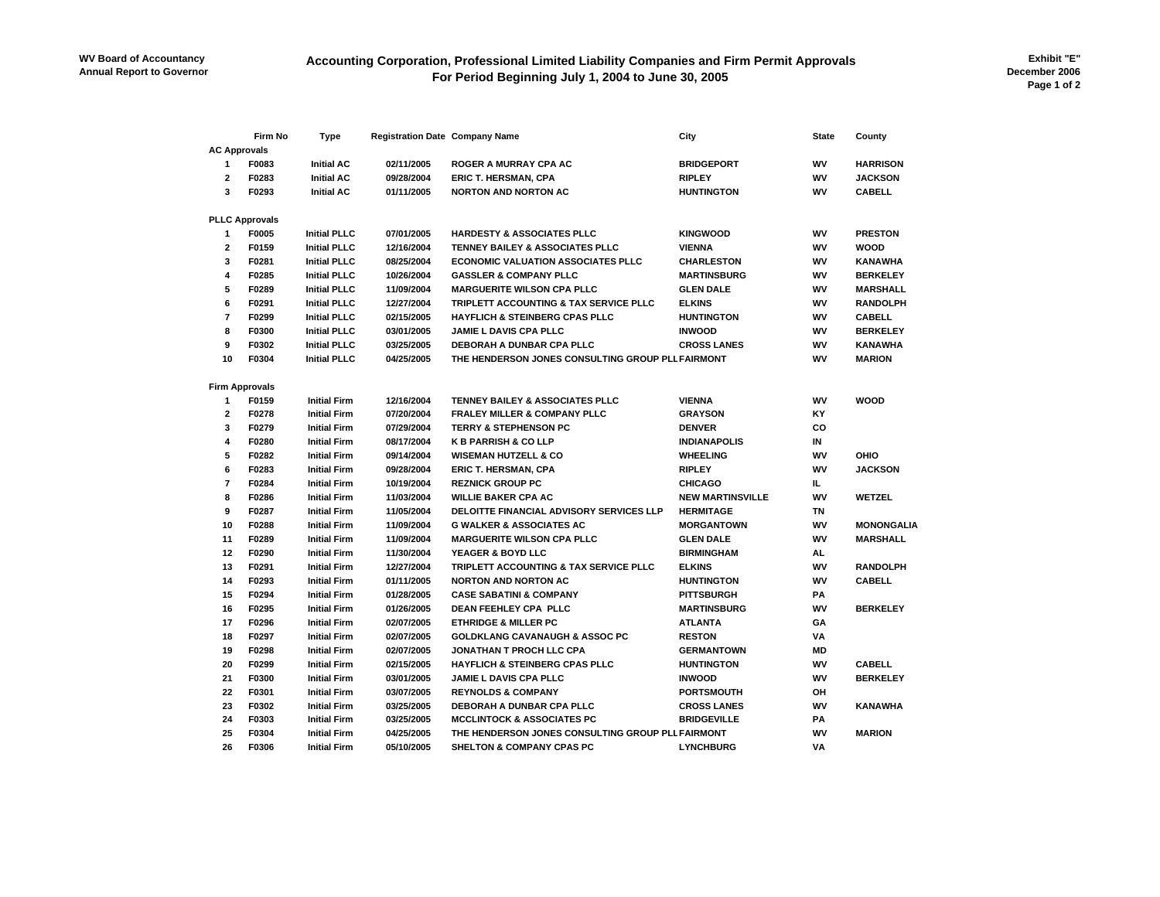# **Accounting Corporation, Professional Limited Liability Companies and Firm Permit Approvals For Period Beginning July 1, 2004 to June 30, 2005**

**Exhibit "E" December 2006 Page 1 of 2**

|                         | Firm No               | Type                | <b>Registration Date Company Name</b> |                                                   | City                    | <b>State</b> | County            |
|-------------------------|-----------------------|---------------------|---------------------------------------|---------------------------------------------------|-------------------------|--------------|-------------------|
| <b>AC Approvals</b>     |                       |                     |                                       |                                                   |                         |              |                   |
| 1                       | F0083                 | <b>Initial AC</b>   | 02/11/2005                            | <b>ROGER A MURRAY CPA AC</b>                      | <b>BRIDGEPORT</b>       | WV           | <b>HARRISON</b>   |
| $\overline{2}$          | F0283                 | <b>Initial AC</b>   | 09/28/2004                            | <b>ERIC T. HERSMAN, CPA</b>                       | <b>RIPLEY</b>           | WV           | <b>JACKSON</b>    |
| 3                       | F0293                 | <b>Initial AC</b>   | 01/11/2005                            | <b>NORTON AND NORTON AC</b>                       | <b>HUNTINGTON</b>       | W٧           | <b>CABELL</b>     |
|                         | <b>PLLC Approvals</b> |                     |                                       |                                                   |                         |              |                   |
| 1                       | F0005                 | <b>Initial PLLC</b> | 07/01/2005                            | <b>HARDESTY &amp; ASSOCIATES PLLC</b>             | <b>KINGWOOD</b>         | W٧           | <b>PRESTON</b>    |
| $\overline{\mathbf{2}}$ | F0159                 | <b>Initial PLLC</b> | 12/16/2004                            | TENNEY BAILEY & ASSOCIATES PLLC                   | <b>VIENNA</b>           | WV           | WOOD              |
| 3                       | F0281                 | <b>Initial PLLC</b> | 08/25/2004                            | <b>ECONOMIC VALUATION ASSOCIATES PLLC</b>         | <b>CHARLESTON</b>       | W٧           | <b>KANAWHA</b>    |
| 4                       | F0285                 | <b>Initial PLLC</b> | 10/26/2004                            | <b>GASSLER &amp; COMPANY PLLC</b>                 | <b>MARTINSBURG</b>      | W٧           | <b>BERKELEY</b>   |
| 5                       | F0289                 | <b>Initial PLLC</b> | 11/09/2004                            | <b>MARGUERITE WILSON CPA PLLC</b>                 | <b>GLEN DALE</b>        | WV           | <b>MARSHALL</b>   |
| 6                       | F0291                 | <b>Initial PLLC</b> | 12/27/2004                            | TRIPLETT ACCOUNTING & TAX SERVICE PLLC            | <b>ELKINS</b>           | WV           | <b>RANDOLPH</b>   |
| $\overline{7}$          | F0299                 |                     |                                       |                                                   | <b>HUNTINGTON</b>       |              |                   |
|                         |                       | <b>Initial PLLC</b> | 02/15/2005                            | <b>HAYFLICH &amp; STEINBERG CPAS PLLC</b>         |                         | W٧           | CABELL            |
| 8                       | F0300                 | <b>Initial PLLC</b> | 03/01/2005                            | <b>JAMIE L DAVIS CPA PLLC</b>                     | <b>INWOOD</b>           | WV           | <b>BERKELEY</b>   |
| 9                       | F0302                 | <b>Initial PLLC</b> | 03/25/2005                            | DEBORAH A DUNBAR CPA PLLC                         | <b>CROSS LANES</b>      | WV           | <b>KANAWHA</b>    |
| 10                      | F0304                 | <b>Initial PLLC</b> | 04/25/2005                            | THE HENDERSON JONES CONSULTING GROUP PLL FAIRMONT |                         | W٧           | <b>MARION</b>     |
|                         | <b>Firm Approvals</b> |                     |                                       |                                                   |                         |              |                   |
| 1                       | F0159                 | <b>Initial Firm</b> | 12/16/2004                            | <b>TENNEY BAILEY &amp; ASSOCIATES PLLC</b>        | <b>VIENNA</b>           | WV           | WOOD              |
| $\mathbf{2}$            | F0278                 | <b>Initial Firm</b> | 07/20/2004                            | <b>FRALEY MILLER &amp; COMPANY PLLC</b>           | <b>GRAYSON</b>          | ΚY           |                   |
| 3                       | F0279                 | <b>Initial Firm</b> | 07/29/2004                            | <b>TERRY &amp; STEPHENSON PC</b>                  | <b>DENVER</b>           | CO           |                   |
| 4                       | F0280                 | <b>Initial Firm</b> | 08/17/2004                            | <b>K B PARRISH &amp; CO LLP</b>                   | <b>INDIANAPOLIS</b>     | IN           |                   |
| 5                       | F0282                 | <b>Initial Firm</b> | 09/14/2004                            | <b>WISEMAN HUTZELL &amp; CO</b>                   | <b>WHEELING</b>         | WV           | OHIO              |
| 6                       | F0283                 | <b>Initial Firm</b> | 09/28/2004                            | <b>ERIC T. HERSMAN, CPA</b>                       | <b>RIPLEY</b>           | W٧           | <b>JACKSON</b>    |
| $\overline{7}$          | F0284                 | <b>Initial Firm</b> | 10/19/2004                            | <b>REZNICK GROUP PC</b>                           | <b>CHICAGO</b>          | IL.          |                   |
| 8                       | F0286                 | <b>Initial Firm</b> | 11/03/2004                            | <b>WILLIE BAKER CPA AC</b>                        | <b>NEW MARTINSVILLE</b> | WV           | <b>WETZEL</b>     |
| 9                       | F0287                 | <b>Initial Firm</b> | 11/05/2004                            | DELOITTE FINANCIAL ADVISORY SERVICES LLP          | <b>HERMITAGE</b>        | ΤN           |                   |
| 10                      | F0288                 | <b>Initial Firm</b> | 11/09/2004                            | <b>G WALKER &amp; ASSOCIATES AC</b>               | <b>MORGANTOWN</b>       | WV           | <b>MONONGALIA</b> |
| 11                      | F0289                 | <b>Initial Firm</b> | 11/09/2004                            | <b>MARGUERITE WILSON CPA PLLC</b>                 | <b>GLEN DALE</b>        | WV           | <b>MARSHALL</b>   |
| 12                      | F0290                 | <b>Initial Firm</b> | 11/30/2004                            | YEAGER & BOYD LLC                                 | <b>BIRMINGHAM</b>       | AL           |                   |
| 13                      | F0291                 | <b>Initial Firm</b> | 12/27/2004                            | TRIPLETT ACCOUNTING & TAX SERVICE PLLC            | <b>ELKINS</b>           | WV           | <b>RANDOLPH</b>   |
| 14                      | F0293                 | <b>Initial Firm</b> | 01/11/2005                            | <b>NORTON AND NORTON AC</b>                       | <b>HUNTINGTON</b>       | W٧           | CABELL            |
| 15                      | F0294                 | <b>Initial Firm</b> | 01/28/2005                            | <b>CASE SABATINI &amp; COMPANY</b>                | <b>PITTSBURGH</b>       | PA           |                   |
| 16                      | F0295                 | <b>Initial Firm</b> | 01/26/2005                            | DEAN FEEHLEY CPA PLLC                             | <b>MARTINSBURG</b>      | W٧           | <b>BERKELEY</b>   |
| 17                      | F0296                 | <b>Initial Firm</b> | 02/07/2005                            | <b>ETHRIDGE &amp; MILLER PC</b>                   | <b>ATLANTA</b>          | GA           |                   |
| 18                      | F0297                 | <b>Initial Firm</b> | 02/07/2005                            | <b>GOLDKLANG CAVANAUGH &amp; ASSOC PC</b>         | <b>RESTON</b>           | VA           |                   |
| 19                      | F0298                 | <b>Initial Firm</b> | 02/07/2005                            | JONATHAN T PROCH LLC CPA                          | <b>GERMANTOWN</b>       | ΜD           |                   |
| 20                      | F0299                 | <b>Initial Firm</b> | 02/15/2005                            | HAYFLICH & STEINBERG CPAS PLLC                    | <b>HUNTINGTON</b>       | W٧           | <b>CABELL</b>     |
| 21                      | F0300                 | <b>Initial Firm</b> | 03/01/2005                            | <b>JAMIE L DAVIS CPA PLLC</b>                     | <b>INWOOD</b>           | W٧           | <b>BERKELEY</b>   |
| 22                      | F0301                 | <b>Initial Firm</b> | 03/07/2005                            | <b>REYNOLDS &amp; COMPANY</b>                     | <b>PORTSMOUTH</b>       | он           |                   |
| 23                      | F0302                 | <b>Initial Firm</b> | 03/25/2005                            | DEBORAH A DUNBAR CPA PLLC                         | <b>CROSS LANES</b>      | W٧           | <b>KANAWHA</b>    |
| 24                      | F0303                 | <b>Initial Firm</b> | 03/25/2005                            | <b>MCCLINTOCK &amp; ASSOCIATES PC</b>             | <b>BRIDGEVILLE</b>      | PA           |                   |
| 25                      | F0304                 | <b>Initial Firm</b> | 04/25/2005                            | THE HENDERSON JONES CONSULTING GROUP PLL FAIRMONT |                         | WV           | <b>MARION</b>     |
| 26                      | F0306                 | <b>Initial Firm</b> | 05/10/2005                            | <b>SHELTON &amp; COMPANY CPAS PC</b>              | <b>LYNCHBURG</b>        | VA           |                   |
|                         |                       |                     |                                       |                                                   |                         |              |                   |